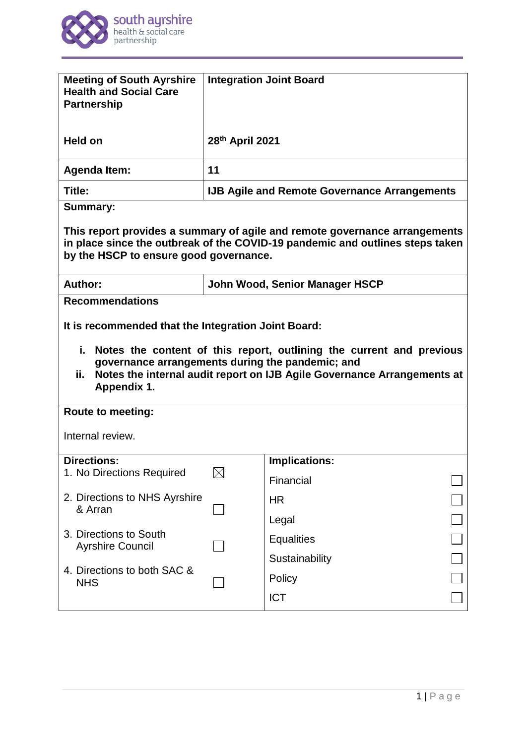

| <b>Meeting of South Ayrshire</b><br><b>Health and Social Care</b><br><b>Partnership</b>                                                                                                                      |                                                     | <b>Integration Joint Board</b>                                          |  |
|--------------------------------------------------------------------------------------------------------------------------------------------------------------------------------------------------------------|-----------------------------------------------------|-------------------------------------------------------------------------|--|
| <b>Held on</b>                                                                                                                                                                                               | 28th April 2021                                     |                                                                         |  |
| <b>Agenda Item:</b>                                                                                                                                                                                          | 11                                                  |                                                                         |  |
| Title:                                                                                                                                                                                                       | <b>IJB Agile and Remote Governance Arrangements</b> |                                                                         |  |
| <b>Summary:</b>                                                                                                                                                                                              |                                                     |                                                                         |  |
| This report provides a summary of agile and remote governance arrangements<br>in place since the outbreak of the COVID-19 pandemic and outlines steps taken<br>by the HSCP to ensure good governance.        |                                                     |                                                                         |  |
| Author:                                                                                                                                                                                                      | John Wood, Senior Manager HSCP                      |                                                                         |  |
| <b>Recommendations</b><br>It is recommended that the Integration Joint Board:<br>i. Notes the content of this report, outlining the current and previous<br>governance arrangements during the pandemic; and |                                                     |                                                                         |  |
|                                                                                                                                                                                                              |                                                     |                                                                         |  |
| ij.<br>Appendix 1.                                                                                                                                                                                           |                                                     | Notes the internal audit report on IJB Agile Governance Arrangements at |  |
| <b>Route to meeting:</b>                                                                                                                                                                                     |                                                     |                                                                         |  |
| Internal review.                                                                                                                                                                                             |                                                     |                                                                         |  |
| <b>Directions:</b>                                                                                                                                                                                           |                                                     | <b>Implications:</b>                                                    |  |
| 1. No Directions Required                                                                                                                                                                                    | $\boxtimes$                                         | Financial                                                               |  |
| 2. Directions to NHS Ayrshire                                                                                                                                                                                |                                                     | <b>HR</b>                                                               |  |
| & Arran                                                                                                                                                                                                      |                                                     | Legal                                                                   |  |
| 3. Directions to South                                                                                                                                                                                       |                                                     | <b>Equalities</b>                                                       |  |
| <b>Ayrshire Council</b>                                                                                                                                                                                      |                                                     | Sustainability                                                          |  |
| 4. Directions to both SAC &<br><b>NHS</b>                                                                                                                                                                    |                                                     | Policy                                                                  |  |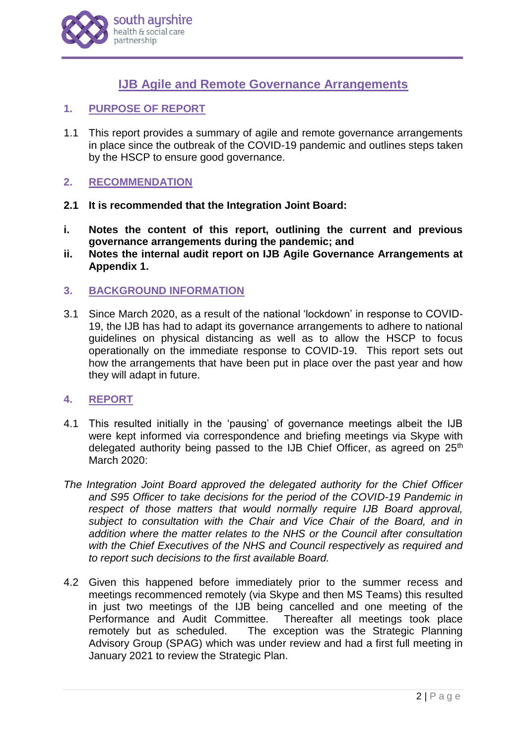

# **IJB Agile and Remote Governance Arrangements**

- **1. PURPOSE OF REPORT**
- 1.1 This report provides a summary of agile and remote governance arrangements in place since the outbreak of the COVID-19 pandemic and outlines steps taken by the HSCP to ensure good governance.

#### **2. RECOMMENDATION**

- **2.1 It is recommended that the Integration Joint Board:**
- **i. Notes the content of this report, outlining the current and previous governance arrangements during the pandemic; and**
- **ii. Notes the internal audit report on IJB Agile Governance Arrangements at Appendix 1.**
- **3. BACKGROUND INFORMATION**
- 3.1 Since March 2020, as a result of the national 'lockdown' in response to COVID-19, the IJB has had to adapt its governance arrangements to adhere to national guidelines on physical distancing as well as to allow the HSCP to focus operationally on the immediate response to COVID-19. This report sets out how the arrangements that have been put in place over the past year and how they will adapt in future.

#### **4. REPORT**

- 4.1 This resulted initially in the 'pausing' of governance meetings albeit the IJB were kept informed via correspondence and briefing meetings via Skype with delegated authority being passed to the IJB Chief Officer, as agreed on 25<sup>th</sup> March 2020:
- *The Integration Joint Board approved the delegated authority for the Chief Officer and S95 Officer to take decisions for the period of the COVID-19 Pandemic in respect of those matters that would normally require IJB Board approval, subject to consultation with the Chair and Vice Chair of the Board, and in addition where the matter relates to the NHS or the Council after consultation with the Chief Executives of the NHS and Council respectively as required and to report such decisions to the first available Board.*
- 4.2 Given this happened before immediately prior to the summer recess and meetings recommenced remotely (via Skype and then MS Teams) this resulted in just two meetings of the IJB being cancelled and one meeting of the Performance and Audit Committee. Thereafter all meetings took place remotely but as scheduled. The exception was the Strategic Planning Advisory Group (SPAG) which was under review and had a first full meeting in January 2021 to review the Strategic Plan.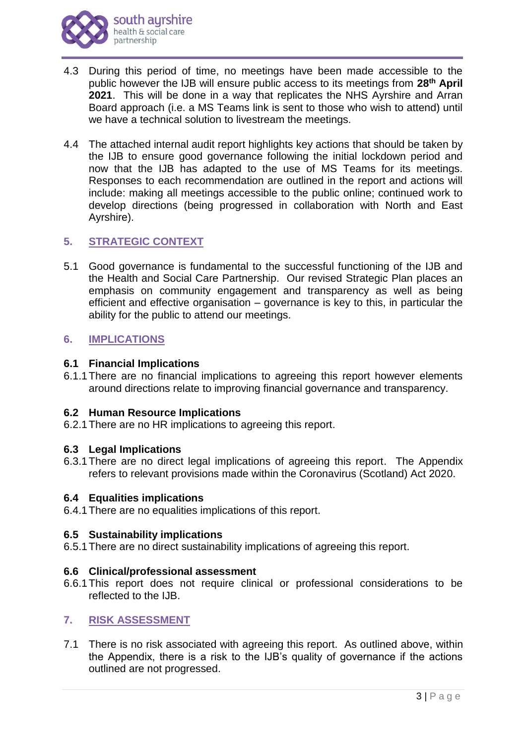- 4.3 During this period of time, no meetings have been made accessible to the public however the IJB will ensure public access to its meetings from **28th April 2021**. This will be done in a way that replicates the NHS Ayrshire and Arran Board approach (i.e. a MS Teams link is sent to those who wish to attend) until we have a technical solution to livestream the meetings.
- 4.4 The attached internal audit report highlights key actions that should be taken by the IJB to ensure good governance following the initial lockdown period and now that the IJB has adapted to the use of MS Teams for its meetings. Responses to each recommendation are outlined in the report and actions will include: making all meetings accessible to the public online; continued work to develop directions (being progressed in collaboration with North and East Ayrshire).

## **5. STRATEGIC CONTEXT**

5.1 Good governance is fundamental to the successful functioning of the IJB and the Health and Social Care Partnership. Our revised Strategic Plan places an emphasis on community engagement and transparency as well as being efficient and effective organisation – governance is key to this, in particular the ability for the public to attend our meetings.

### **6. IMPLICATIONS**

### **6.1 Financial Implications**

6.1.1There are no financial implications to agreeing this report however elements around directions relate to improving financial governance and transparency.

#### **6.2 Human Resource Implications**

6.2.1There are no HR implications to agreeing this report.

#### **6.3 Legal Implications**

6.3.1There are no direct legal implications of agreeing this report. The Appendix refers to relevant provisions made within the Coronavirus (Scotland) Act 2020.

#### **6.4 Equalities implications**

6.4.1There are no equalities implications of this report.

#### **6.5 Sustainability implications**

6.5.1There are no direct sustainability implications of agreeing this report.

## **6.6 Clinical/professional assessment**

6.6.1This report does not require clinical or professional considerations to be reflected to the IJB.

#### **7. RISK ASSESSMENT**

7.1 There is no risk associated with agreeing this report. As outlined above, within the Appendix, there is a risk to the IJB's quality of governance if the actions outlined are not progressed.